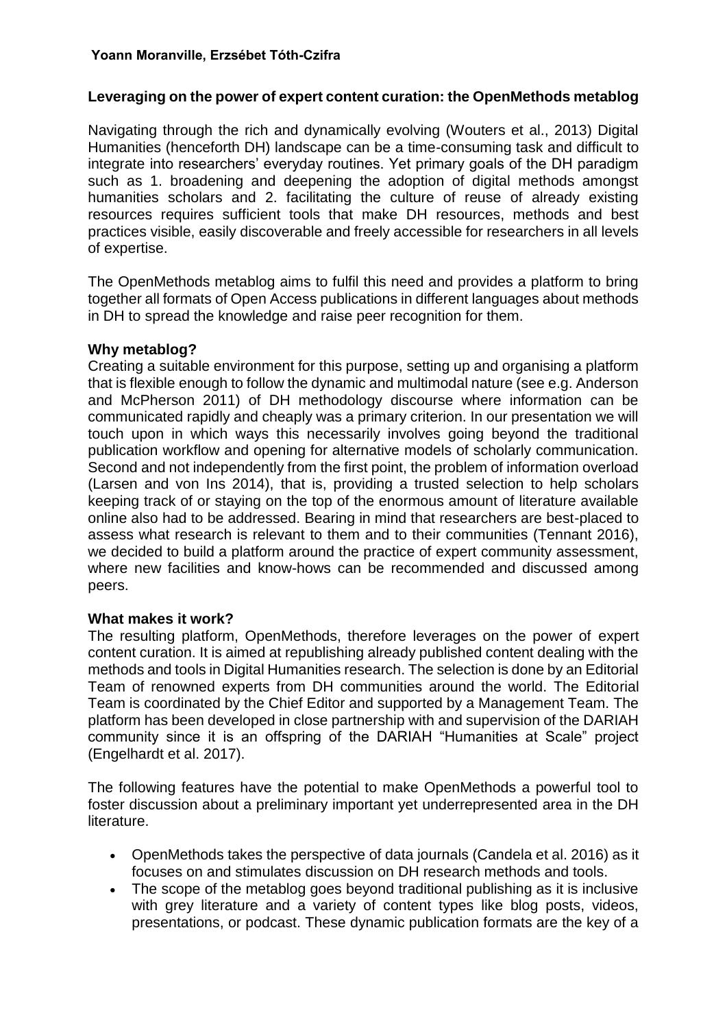# **Leveraging on the power of expert content curation: the OpenMethods metablog**

Navigating through the rich and dynamically evolving (Wouters et al., 2013) Digital Humanities (henceforth DH) landscape can be a time-consuming task and difficult to integrate into researchers' everyday routines. Yet primary goals of the DH paradigm such as 1. broadening and deepening the adoption of digital methods amongst humanities scholars and 2. facilitating the culture of reuse of already existing resources requires sufficient tools that make DH resources, methods and best practices visible, easily discoverable and freely accessible for researchers in all levels of expertise.

The OpenMethods metablog aims to fulfil this need and provides a platform to bring together all formats of Open Access publications in different languages about methods in DH to spread the knowledge and raise peer recognition for them.

## **Why metablog?**

Creating a suitable environment for this purpose, setting up and organising a platform that is flexible enough to follow the dynamic and multimodal nature (see e.g. Anderson and McPherson 2011) of DH methodology discourse where information can be communicated rapidly and cheaply was a primary criterion. In our presentation we will touch upon in which ways this necessarily involves going beyond the traditional publication workflow and opening for alternative models of scholarly communication. Second and not independently from the first point, the problem of information overload (Larsen and von Ins 2014), that is, providing a trusted selection to help scholars keeping track of or staying on the top of the enormous amount of literature available online also had to be addressed. Bearing in mind that researchers are best-placed to assess what research is relevant to them and to their communities (Tennant 2016), we decided to build a platform around the practice of expert community assessment, where new facilities and know-hows can be recommended and discussed among peers.

## **What makes it work?**

The resulting platform, OpenMethods, therefore leverages on the power of expert content curation. It is aimed at republishing already published content dealing with the methods and tools in Digital Humanities research. The selection is done by an Editorial Team of renowned experts from DH communities around the world. The Editorial Team is coordinated by the Chief Editor and supported by a Management Team. The platform has been developed in close partnership with and supervision of the DARIAH community since it is an offspring of the DARIAH "Humanities at Scale" project (Engelhardt et al. 2017).

The following features have the potential to make OpenMethods a powerful tool to foster discussion about a preliminary important yet underrepresented area in the DH literature.

- OpenMethods takes the perspective of data journals (Candela et al. 2016) as it focuses on and stimulates discussion on DH research methods and tools.
- The scope of the metablog goes beyond traditional publishing as it is inclusive with grey literature and a variety of content types like blog posts, videos, presentations, or podcast. These dynamic publication formats are the key of a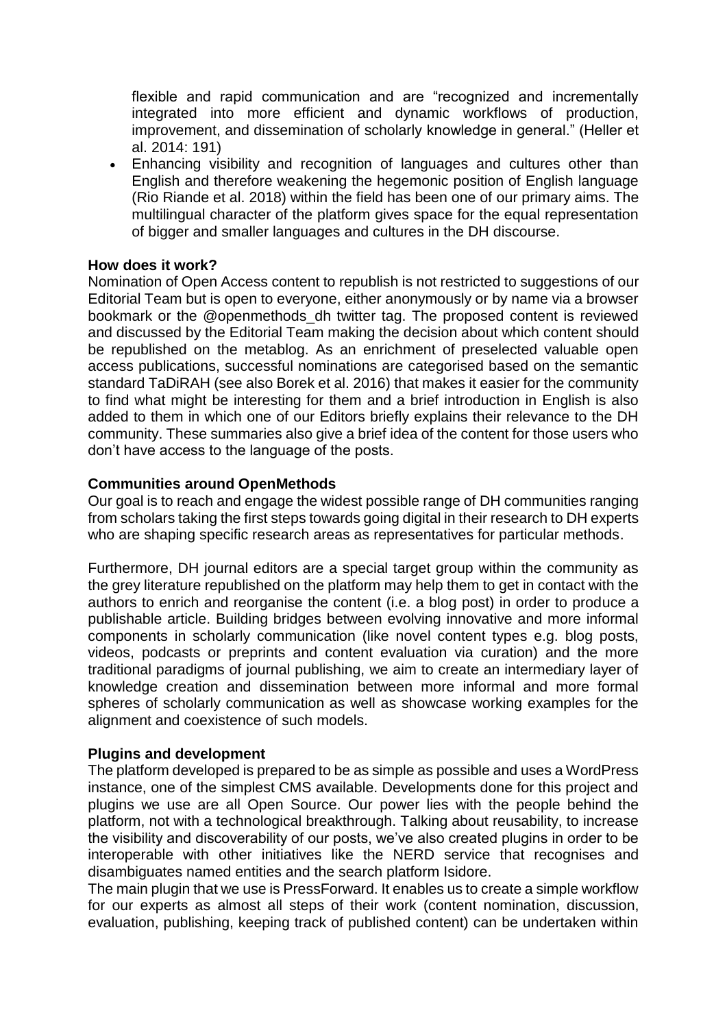flexible and rapid communication and are "recognized and incrementally integrated into more efficient and dynamic workflows of production, improvement, and dissemination of scholarly knowledge in general." (Heller et al. 2014: 191)

• Enhancing visibility and recognition of languages and cultures other than English and therefore weakening the hegemonic position of English language (Rio Riande et al. 2018) within the field has been one of our primary aims. The multilingual character of the platform gives space for the equal representation of bigger and smaller languages and cultures in the DH discourse.

## **How does it work?**

Nomination of Open Access content to republish is not restricted to suggestions of our Editorial Team but is open to everyone, either anonymously or by name via a browser bookmark or the @openmethods\_dh twitter tag. The proposed content is reviewed and discussed by the Editorial Team making the decision about which content should be republished on the metablog. As an enrichment of preselected valuable open access publications, successful nominations are categorised based on the semantic standard TaDiRAH (see also Borek et al. 2016) that makes it easier for the community to find what might be interesting for them and a brief introduction in English is also added to them in which one of our Editors briefly explains their relevance to the DH community. These summaries also give a brief idea of the content for those users who don't have access to the language of the posts.

### **Communities around OpenMethods**

Our goal is to reach and engage the widest possible range of DH communities ranging from scholars taking the first steps towards going digital in their research to DH experts who are shaping specific research areas as representatives for particular methods.

Furthermore, DH journal editors are a special target group within the community as the grey literature republished on the platform may help them to get in contact with the authors to enrich and reorganise the content (i.e. a blog post) in order to produce a publishable article. Building bridges between evolving innovative and more informal components in scholarly communication (like novel content types e.g. blog posts, videos, podcasts or preprints and content evaluation via curation) and the more traditional paradigms of journal publishing, we aim to create an intermediary layer of knowledge creation and dissemination between more informal and more formal spheres of scholarly communication as well as showcase working examples for the alignment and coexistence of such models.

### **Plugins and development**

The platform developed is prepared to be as simple as possible and uses a WordPress instance, one of the simplest CMS available. Developments done for this project and plugins we use are all Open Source. Our power lies with the people behind the platform, not with a technological breakthrough. Talking about reusability, to increase the visibility and discoverability of our posts, we've also created plugins in order to be interoperable with other initiatives like the NERD service that recognises and disambiguates named entities and the search platform Isidore.

The main plugin that we use is PressForward. It enables us to create a simple workflow for our experts as almost all steps of their work (content nomination, discussion, evaluation, publishing, keeping track of published content) can be undertaken within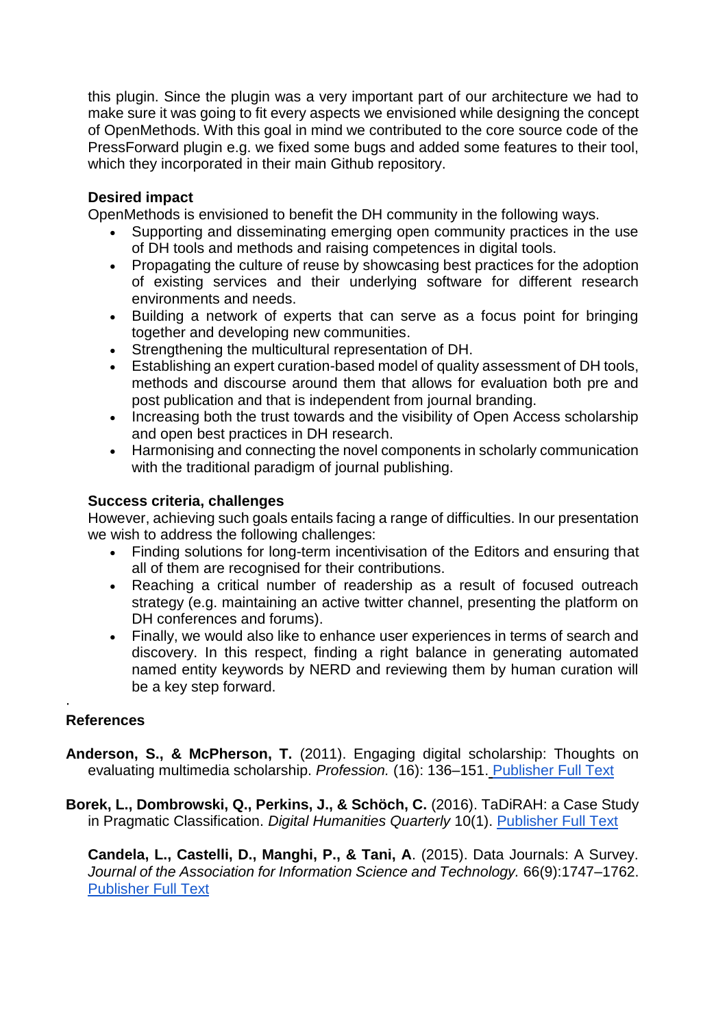this plugin. Since the plugin was a very important part of our architecture we had to make sure it was going to fit every aspects we envisioned while designing the concept of OpenMethods. With this goal in mind we contributed to the core source code of the PressForward plugin e.g. we fixed some bugs and added some features to their tool, which they incorporated in their main Github repository.

# **Desired impact**

OpenMethods is envisioned to benefit the DH community in the following ways.

- Supporting and disseminating emerging open community practices in the use of DH tools and methods and raising competences in digital tools.
- Propagating the culture of reuse by showcasing best practices for the adoption of existing services and their underlying software for different research environments and needs.
- Building a network of experts that can serve as a focus point for bringing together and developing new communities.
- Strengthening the multicultural representation of DH.
- Establishing an expert curation-based model of quality assessment of DH tools, methods and discourse around them that allows for evaluation both pre and post publication and that is independent from journal branding.
- Increasing both the trust towards and the visibility of Open Access scholarship and open best practices in DH research.
- Harmonising and connecting the novel components in scholarly communication with the traditional paradigm of journal publishing.

# **Success criteria, challenges**

However, achieving such goals entails facing a range of difficulties. In our presentation we wish to address the following challenges:

- Finding solutions for long-term incentivisation of the Editors and ensuring that all of them are recognised for their contributions.
- Reaching a critical number of readership as a result of focused outreach strategy (e.g. maintaining an active twitter channel, presenting the platform on DH conferences and forums).
- Finally, we would also like to enhance user experiences in terms of search and discovery. In this respect, finding a right balance in generating automated named entity keywords by NERD and reviewing them by human curation will be a key step forward.

#### · **References**

- **Anderson, S., & McPherson, T.** (2011). Engaging digital scholarship: Thoughts on evaluating multimedia scholarship. *Profession.* (16): 136–151. [Publisher Full Text](http://dx.doi.org/10.1632/prof.2011.2011.1.136)
- **Borek, L., Dombrowski, Q., Perkins, J., & Schöch, C.** (2016). TaDiRAH: a Case Study in Pragmatic Classification. *Digital Humanities Quarterly* 10(1). [Publisher Full Text](http://www.digitalhumanities.org/dhq/vol/10/1/000235/000235.html)

**Candela, L., Castelli, D., Manghi, P., & Tani, A**. (2015). Data Journals: A Survey. *Journal of the Association for Information Science and Technology.* 66(9):1747–1762. [Publisher Full Text](https://onlinelibrary.wiley.com/doi/abs/10.1002/asi.23358)